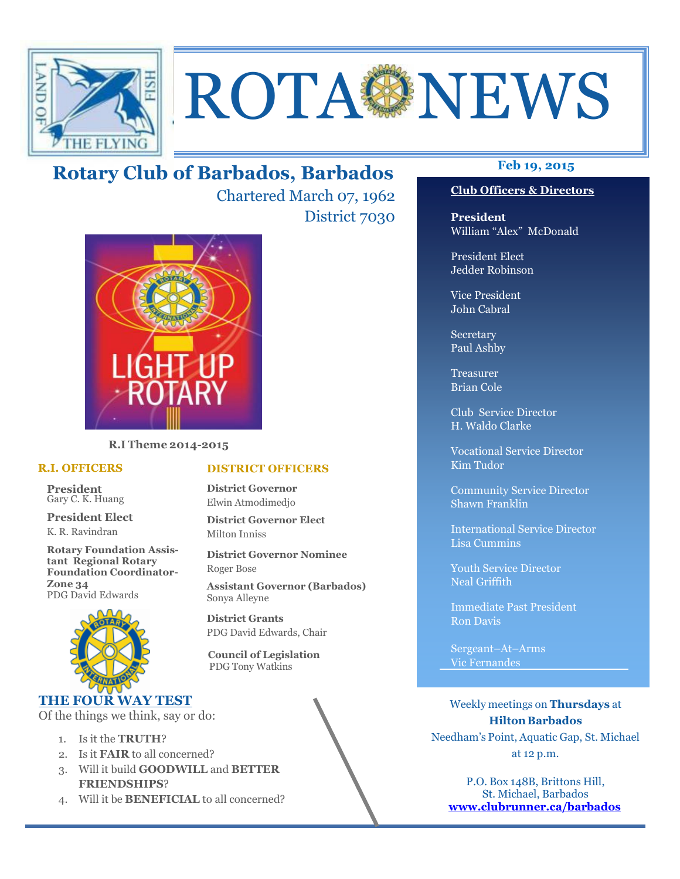

# ROTA NEWS

# **Feb 19, 2015 Rotary Club of Barbados, Barbados**

Chartered March 07, 1962 District 7030



**R.I Theme 2014-2015** 

#### **R.I. OFFICERS**

**President** Gary C. K. Huang

**President Elect** K. R. Ravindran

**Rotary Foundation Assistant Regional Rotary Foundation Coordinator-Zone 34**  PDG David Edwards



### **THE FOUR WAY TEST**

Of the things we think, say or do:

- 1. Is it the **TRUTH**?
- 2. Is it **FAIR** to all concerned?
- 3. Will it build **GOODWILL** and **BETTER FRIENDSHIPS**?
- 4. Will it be **BENEFICIAL** to all concerned?

**President** William "Alex" McDonald

**Club Officers & Directors** 

President Elect Jedder Robinson

Vice President John Cabral

Secretary Paul Ashby

Treasurer Brian Cole

Club Service Director H. Waldo Clarke

Vocational Service Director Kim Tudor

Community Service Director Shawn Franklin

International Service Director Lisa Cummins

Youth Service Director Neal Griffith

Immediate Past President Ron Davis

Sergeant–At–Arms Vic Fernandes

Weekly meetings on **Thursdays** at **Hilton Barbados** Needham's Point, Aquatic Gap, St. Michael at 12 p.m.

P.O. Box 148B, Brittons Hill, St. Michael, Barbados **www.clubrunner.ca/barbados**

**District Governor** Elwin Atmodimedjo

**District Governor Elect** Milton Inniss

**DISTRICT OFFICERS**

**District Governor Nominee**  Roger Bose

**Assistant Governor (Barbados)** Sonya Alleyne

**District Grants**  PDG David Edwards, Chair

 **Council of Legislation**  PDG Tony Watkins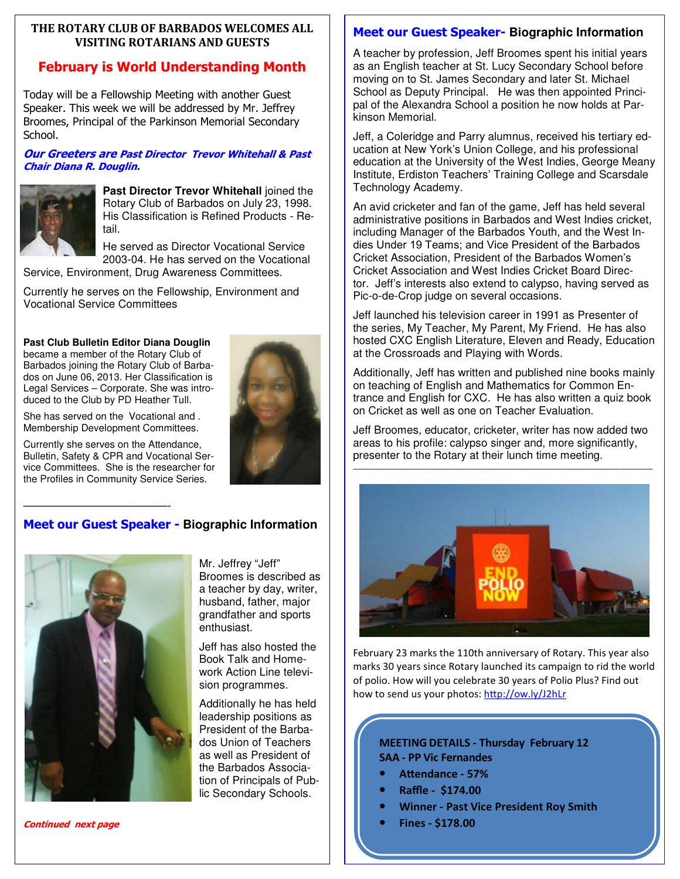#### **THE ROTARY CLUB OF BARBADOS WELCOMES ALL VISITING ROTARIANS AND GUESTS**

# **February is World Understanding Month**

Today will be a Fellowship Meeting with another Guest Speaker. This week we will be addressed by Mr. Jeffrey Broomes, Principal of the Parkinson Memorial Secondary School.

#### **Our Greeters are Past Director Trevor Whitehall & Past Chair Diana R. Douglin.**



**Past Director Trevor Whitehall joined the** Rotary Club of Barbados on July 23, 1998. His Classification is Refined Products - Retail.

He served as Director Vocational Service 2003-04. He has served on the Vocational

Service, Environment, Drug Awareness Committees.

Currently he serves on the Fellowship, Environment and Vocational Service Committees

#### **Past Club Bulletin Editor Diana Douglin**

became a member of the Rotary Club of Barbados joining the Rotary Club of Barbados on June 06, 2013. Her Classification is Legal Services – Corporate. She was introduced to the Club by PD Heather Tull.

She has served on the Vocational and . Membership Development Committees.

—————————————-

Currently she serves on the Attendance, Bulletin, Safety & CPR and Vocational Service Committees. She is the researcher for the Profiles in Community Service Series.



# **Meet our Guest Speaker - Biographic Information**



**Continued next page** 

Mr. Jeffrey "Jeff" Broomes is described as a teacher by day, writer, husband, father, major grandfather and sports enthusiast.

Jeff has also hosted the Book Talk and Homework Action Line television programmes.

Additionally he has held leadership positions as President of the Barbados Union of Teachers as well as President of the Barbados Association of Principals of Public Secondary Schools.

## **Meet our Guest Speaker- Biographic Information**

A teacher by profession, Jeff Broomes spent his initial years as an English teacher at St. Lucy Secondary School before moving on to St. James Secondary and later St. Michael School as Deputy Principal. He was then appointed Principal of the Alexandra School a position he now holds at Parkinson Memorial.

Jeff, a Coleridge and Parry alumnus, received his tertiary education at New York's Union College, and his professional education at the University of the West Indies, George Meany Institute, Erdiston Teachers' Training College and Scarsdale Technology Academy.

An avid cricketer and fan of the game, Jeff has held several administrative positions in Barbados and West Indies cricket, including Manager of the Barbados Youth, and the West Indies Under 19 Teams; and Vice President of the Barbados Cricket Association, President of the Barbados Women's Cricket Association and West Indies Cricket Board Director. Jeff's interests also extend to calypso, having served as Pic-o-de-Crop judge on several occasions.

Jeff launched his television career in 1991 as Presenter of the series, My Teacher, My Parent, My Friend. He has also hosted CXC English Literature, Eleven and Ready, Education at the Crossroads and Playing with Words.

Additionally, Jeff has written and published nine books mainly on teaching of English and Mathematics for Common Entrance and English for CXC. He has also written a quiz book on Cricket as well as one on Teacher Evaluation.

Jeff Broomes, educator, cricketer, writer has now added two areas to his profile: calypso singer and, more significantly, presenter to the Rotary at their lunch time meeting.



February 23 marks the 110th anniversary of Rotary. This year also marks 30 years since Rotary launched its campaign to rid the world of polio. How will you celebrate 30 years of Polio Plus? Find out how to send us your photos: http://ow.ly/J2hLr

#### **MEETING DETAILS - Thursday February 12 SAA - PP Vic Fernandes**

- Attendance 57%
- **Raffle \$174.00**
- **Winner Past Vice President Roy Smith**
- **Fines \$178.00**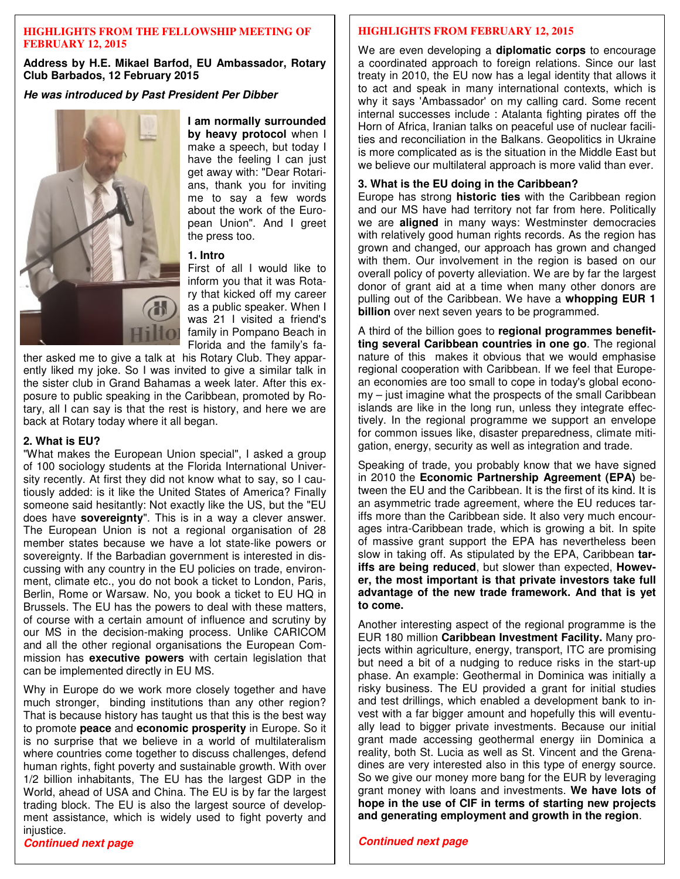#### **HIGHLIGHTS FROM THE FELLOWSHIP MEETING OF FEBRUARY 12, 2015**

**Address by H.E. Mikael Barfod, EU Ambassador, Rotary Club Barbados, 12 February 2015** 

**He was introduced by Past President Per Dibber** 



**I am normally surrounded by heavy protocol** when I make a speech, but today I have the feeling I can just get away with: "Dear Rotarians, thank you for inviting me to say a few words about the work of the European Union". And I greet the press too.

#### **1. Intro**

First of all I would like to inform you that it was Rotary that kicked off my career as a public speaker. When I was 21 I visited a friend's family in Pompano Beach in Florida and the family's fa-

ther asked me to give a talk at his Rotary Club. They apparently liked my joke. So I was invited to give a similar talk in the sister club in Grand Bahamas a week later. After this exposure to public speaking in the Caribbean, promoted by Rotary, all I can say is that the rest is history, and here we are back at Rotary today where it all began.

#### **2. What is EU?**

"What makes the European Union special", I asked a group of 100 sociology students at the Florida International University recently. At first they did not know what to say, so I cautiously added: is it like the United States of America? Finally someone said hesitantly: Not exactly like the US, but the "EU does have **sovereignty**". This is in a way a clever answer. The European Union is not a regional organisation of 28 member states because we have a lot state-like powers or sovereignty. If the Barbadian government is interested in discussing with any country in the EU policies on trade, environment, climate etc., you do not book a ticket to London, Paris, Berlin, Rome or Warsaw. No, you book a ticket to EU HQ in Brussels. The EU has the powers to deal with these matters, of course with a certain amount of influence and scrutiny by our MS in the decision-making process. Unlike CARICOM and all the other regional organisations the European Commission has **executive powers** with certain legislation that can be implemented directly in EU MS.

Why in Europe do we work more closely together and have much stronger, binding institutions than any other region? That is because history has taught us that this is the best way to promote **peace** and **economic prosperity** in Europe. So it is no surprise that we believe in a world of multilateralism where countries come together to discuss challenges, defend human rights, fight poverty and sustainable growth. With over 1/2 billion inhabitants, The EU has the largest GDP in the World, ahead of USA and China. The EU is by far the largest trading block. The EU is also the largest source of development assistance, which is widely used to fight poverty and injustice.

#### **HIGHLIGHTS FROM FEBRUARY 12, 2015**

We are even developing a **diplomatic corps** to encourage a coordinated approach to foreign relations. Since our last treaty in 2010, the EU now has a legal identity that allows it to act and speak in many international contexts, which is why it says 'Ambassador' on my calling card. Some recent internal successes include : Atalanta fighting pirates off the Horn of Africa, Iranian talks on peaceful use of nuclear facilities and reconciliation in the Balkans. Geopolitics in Ukraine is more complicated as is the situation in the Middle East but we believe our multilateral approach is more valid than ever.

#### **3. What is the EU doing in the Caribbean?**

Europe has strong **historic ties** with the Caribbean region and our MS have had territory not far from here. Politically we are **aligned** in many ways: Westminster democracies with relatively good human rights records. As the region has grown and changed, our approach has grown and changed with them. Our involvement in the region is based on our overall policy of poverty alleviation. We are by far the largest donor of grant aid at a time when many other donors are pulling out of the Caribbean. We have a **whopping EUR 1 billion** over next seven years to be programmed.

A third of the billion goes to **regional programmes benefitting several Caribbean countries in one go**. The regional nature of this makes it obvious that we would emphasise regional cooperation with Caribbean. If we feel that European economies are too small to cope in today's global economy – just imagine what the prospects of the small Caribbean islands are like in the long run, unless they integrate effectively. In the regional programme we support an envelope for common issues like, disaster preparedness, climate mitigation, energy, security as well as integration and trade.

Speaking of trade, you probably know that we have signed in 2010 the **Economic Partnership Agreement (EPA)** between the EU and the Caribbean. It is the first of its kind. It is an asymmetric trade agreement, where the EU reduces tariffs more than the Caribbean side. It also very much encourages intra-Caribbean trade, which is growing a bit. In spite of massive grant support the EPA has nevertheless been slow in taking off. As stipulated by the EPA, Caribbean **tariffs are being reduced**, but slower than expected, **However, the most important is that private investors take full advantage of the new trade framework. And that is yet to come.**

Another interesting aspect of the regional programme is the EUR 180 million **Caribbean Investment Facility.** Many projects within agriculture, energy, transport, ITC are promising but need a bit of a nudging to reduce risks in the start-up phase. An example: Geothermal in Dominica was initially a risky business. The EU provided a grant for initial studies and test drillings, which enabled a development bank to invest with a far bigger amount and hopefully this will eventually lead to bigger private investments. Because our initial grant made accessing geothermal energy iin Dominica a reality, both St. Lucia as well as St. Vincent and the Grenadines are very interested also in this type of energy source. So we give our money more bang for the EUR by leveraging grant money with loans and investments. **We have lots of hope in the use of CIF in terms of starting new projects and generating employment and growth in the region**.

#### **Continued next page**

**Continued next page**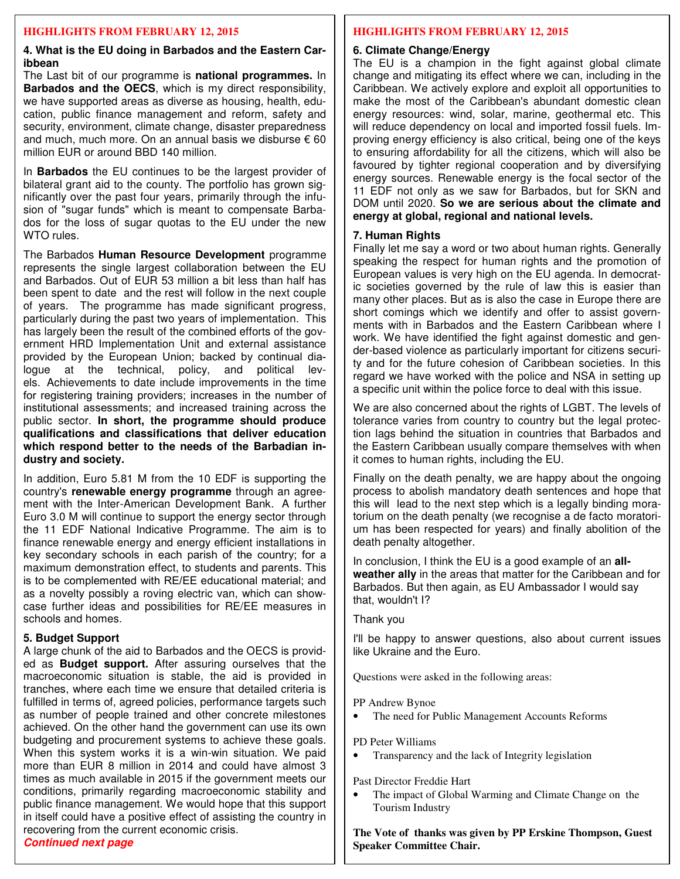#### **HIGHLIGHTS FROM FEBRUARY 12, 2015**

#### **4. What is the EU doing in Barbados and the Eastern Caribbean**

The Last bit of our programme is **national programmes.** In **Barbados and the OECS**, which is my direct responsibility, we have supported areas as diverse as housing, health, education, public finance management and reform, safety and security, environment, climate change, disaster preparedness and much, much more. On an annual basis we disburse  $\epsilon$  60 million EUR or around BBD 140 million.

In **Barbados** the EU continues to be the largest provider of bilateral grant aid to the county. The portfolio has grown significantly over the past four years, primarily through the infusion of "sugar funds" which is meant to compensate Barbados for the loss of sugar quotas to the EU under the new WTO rules

The Barbados **Human Resource Development** programme represents the single largest collaboration between the EU and Barbados. Out of EUR 53 million a bit less than half has been spent to date and the rest will follow in the next couple of years. The programme has made significant progress, particularly during the past two years of implementation. This has largely been the result of the combined efforts of the government HRD Implementation Unit and external assistance provided by the European Union; backed by continual dialogue at the technical, policy, and political levels. Achievements to date include improvements in the time for registering training providers; increases in the number of institutional assessments; and increased training across the public sector. **In short, the programme should produce qualifications and classifications that deliver education which respond better to the needs of the Barbadian industry and society.** 

In addition, Euro 5.81 M from the 10 EDF is supporting the country's **renewable energy programme** through an agreement with the Inter-American Development Bank. A further Euro 3.0 M will continue to support the energy sector through the 11 EDF National Indicative Programme. The aim is to finance renewable energy and energy efficient installations in key secondary schools in each parish of the country; for a maximum demonstration effect, to students and parents. This is to be complemented with RE/EE educational material; and as a novelty possibly a roving electric van, which can showcase further ideas and possibilities for RE/EE measures in schools and homes.

#### **5. Budget Support**

 **Continued next page**  A large chunk of the aid to Barbados and the OECS is provided as **Budget support.** After assuring ourselves that the macroeconomic situation is stable, the aid is provided in tranches, where each time we ensure that detailed criteria is fulfilled in terms of, agreed policies, performance targets such as number of people trained and other concrete milestones achieved. On the other hand the government can use its own budgeting and procurement systems to achieve these goals. When this system works it is a win-win situation. We paid more than EUR 8 million in 2014 and could have almost 3 times as much available in 2015 if the government meets our conditions, primarily regarding macroeconomic stability and public finance management. We would hope that this support in itself could have a positive effect of assisting the country in recovering from the current economic crisis.

# **HIGHLIGHTS FROM FEBRUARY 12, 2015**

#### **6. Climate Change/Energy**

The EU is a champion in the fight against global climate change and mitigating its effect where we can, including in the Caribbean. We actively explore and exploit all opportunities to make the most of the Caribbean's abundant domestic clean energy resources: wind, solar, marine, geothermal etc. This will reduce dependency on local and imported fossil fuels. Improving energy efficiency is also critical, being one of the keys to ensuring affordability for all the citizens, which will also be favoured by tighter regional cooperation and by diversifying energy sources. Renewable energy is the focal sector of the 11 EDF not only as we saw for Barbados, but for SKN and DOM until 2020. **So we are serious about the climate and energy at global, regional and national levels.**

#### **7. Human Rights**

Finally let me say a word or two about human rights. Generally speaking the respect for human rights and the promotion of European values is very high on the EU agenda. In democratic societies governed by the rule of law this is easier than many other places. But as is also the case in Europe there are short comings which we identify and offer to assist governments with in Barbados and the Eastern Caribbean where I work. We have identified the fight against domestic and gender-based violence as particularly important for citizens security and for the future cohesion of Caribbean societies. In this regard we have worked with the police and NSA in setting up a specific unit within the police force to deal with this issue.

We are also concerned about the rights of LGBT. The levels of tolerance varies from country to country but the legal protection lags behind the situation in countries that Barbados and the Eastern Caribbean usually compare themselves with when it comes to human rights, including the EU.

Finally on the death penalty, we are happy about the ongoing process to abolish mandatory death sentences and hope that this will lead to the next step which is a legally binding moratorium on the death penalty (we recognise a de facto moratorium has been respected for years) and finally abolition of the death penalty altogether.

In conclusion, I think the EU is a good example of an **allweather ally** in the areas that matter for the Caribbean and for Barbados. But then again, as EU Ambassador I would say that, wouldn't I?

Thank you

I'll be happy to answer questions, also about current issues like Ukraine and the Euro.

Questions were asked in the following areas:

PP Andrew Bynoe

• The need for Public Management Accounts Reforms

PD Peter Williams

• Transparency and the lack of Integrity legislation

Past Director Freddie Hart

The impact of Global Warming and Climate Change on the Tourism Industry

**The Vote of thanks was given by PP Erskine Thompson, Guest Speaker Committee Chair.**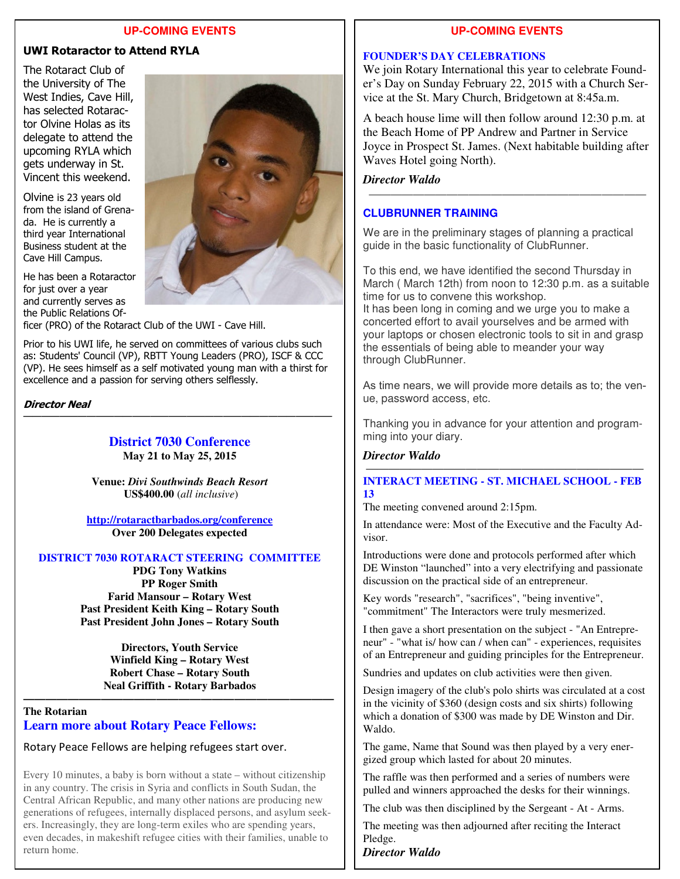#### **UP-COMING EVENTS**

#### **UWI Rotaractor to Attend RYLA**

The Rotaract Club of the University of The West Indies, Cave Hill, has selected Rotaractor Olvine Holas as its delegate to attend the upcoming RYLA which gets underway in St. Vincent this weekend.

Olvine is 23 years old from the island of Grenada. He is currently a third year International Business student at the Cave Hill Campus.

He has been a Rotaractor for just over a year and currently serves as the Public Relations Of-



Prior to his UWI life, he served on committees of various clubs such as: Students' Council (VP), RBTT Young Leaders (PRO), ISCF & CCC (VP). He sees himself as a self motivated young man with a thirst for excellence and a passion for serving others selflessly.

#### **Director Neal**

#### **District 7030 Conference May 21 to May 25, 2015**

——————————————————————————————————

**Venue:** *Divi Southwinds Beach Resort*   **US\$400.00** (*all inclusive*)

**http://rotaractbarbados.org/conference Over 200 Delegates expected** 

#### **DISTRICT 7030 ROTARACT STEERING COMMITTEE**

**PDG Tony Watkins PP Roger Smith Farid Mansour – Rotary West Past President Keith King – Rotary South Past President John Jones – Rotary South** 

> **Directors, Youth Service Winfield King – Rotary West Robert Chase – Rotary South Neal Griffith - Rotary Barbados**

**————————————————————————————** 

#### **The Rotarian Learn more about Rotary Peace Fellows:**

#### Rotary Peace Fellows are helping refugees start over.

 even decades, in makeshift refugee cities with their families, unable to Every 10 minutes, a baby is born without a state – without citizenship in any country. The crisis in Syria and conflicts in South Sudan, the Central African Republic, and many other nations are producing new generations of refugees, internally displaced persons, and asylum seekers. Increasingly, they are long-term exiles who are spending years, return home.

#### **UP-COMING EVENTS**

#### **FOUNDER'S DAY CELEBRATIONS**

We join Rotary International this year to celebrate Founder's Day on Sunday February 22, 2015 with a Church Service at the St. Mary Church, Bridgetown at 8:45a.m.

A beach house lime will then follow around 12:30 p.m. at the Beach Home of PP Andrew and Partner in Service Joyce in Prospect St. James. (Next habitable building after Waves Hotel going North).

—————————————————————————

#### *Director Waldo*

#### **CLUBRUNNER TRAINING**

We are in the preliminary stages of planning a practical guide in the basic functionality of ClubRunner.

To this end, we have identified the second Thursday in March ( March 12th) from noon to 12:30 p.m. as a suitable time for us to convene this workshop.

It has been long in coming and we urge you to make a concerted effort to avail yourselves and be armed with your laptops or chosen electronic tools to sit in and grasp the essentials of being able to meander your way through ClubRunner.

As time nears, we will provide more details as to; the venue, password access, etc.

Thanking you in advance for your attention and programming into your diary.

#### *Director Waldo*

#### $\overline{\phantom{a}}$  , and the contract of the contract of the contract of the contract of the contract of the contract of the contract of the contract of the contract of the contract of the contract of the contract of the contrac **INTERACT MEETING - ST. MICHAEL SCHOOL - FEB 13**

The meeting convened around 2:15pm.

In attendance were: Most of the Executive and the Faculty Advisor.

Introductions were done and protocols performed after which DE Winston "launched" into a very electrifying and passionate discussion on the practical side of an entrepreneur.

Key words "research", "sacrifices", "being inventive", "commitment" The Interactors were truly mesmerized.

I then gave a short presentation on the subject - "An Entrepreneur" - "what is/ how can / when can" - experiences, requisites of an Entrepreneur and guiding principles for the Entrepreneur.

Sundries and updates on club activities were then given.

Design imagery of the club's polo shirts was circulated at a cost in the vicinity of \$360 (design costs and six shirts) following which a donation of \$300 was made by DE Winston and Dir. Waldo.

The game, Name that Sound was then played by a very energized group which lasted for about 20 minutes.

The raffle was then performed and a series of numbers were pulled and winners approached the desks for their winnings.

The club was then disciplined by the Sergeant - At - Arms.

The meeting was then adjourned after reciting the Interact Pledge.

*Director Waldo*